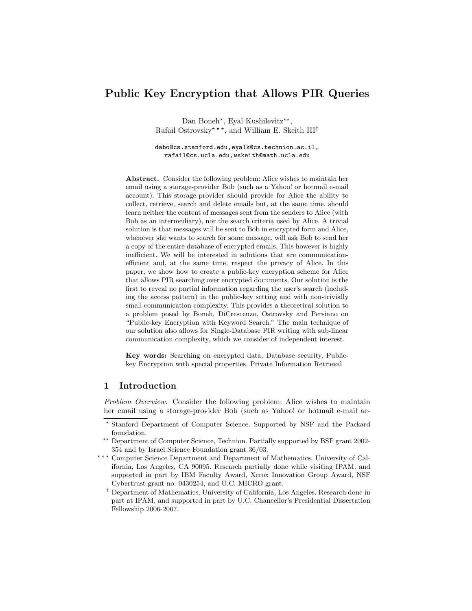# Public Key Encryption that Allows PIR Queries

Dan Boneh<sup>\*</sup>, Eyal Kushilevitz<sup>\*\*</sup>, Rafail Ostrovsky<sup>\*\*\*</sup>, and William E. Skeith  $III^{\dagger}$ 

dabo@cs.stanford.edu,eyalk@cs.technion.ac.il, rafail@cs.ucla.edu,wskeith@math.ucla.edu

Abstract. Consider the following problem: Alice wishes to maintain her email using a storage-provider Bob (such as a Yahoo! or hotmail e-mail account). This storage-provider should provide for Alice the ability to collect, retrieve, search and delete emails but, at the same time, should learn neither the content of messages sent from the senders to Alice (with Bob as an intermediary), nor the search criteria used by Alice. A trivial solution is that messages will be sent to Bob in encrypted form and Alice, whenever she wants to search for some message, will ask Bob to send her a copy of the entire database of encrypted emails. This however is highly inefficient. We will be interested in solutions that are communicationefficient and, at the same time, respect the privacy of Alice. In this paper, we show how to create a public-key encryption scheme for Alice that allows PIR searching over encrypted documents. Our solution is the first to reveal no partial information regarding the user's search (including the access pattern) in the public-key setting and with non-trivially small communication complexity. This provides a theoretical solution to a problem posed by Boneh, DiCrescenzo, Ostrovsky and Persiano on "Public-key Encryption with Keyword Search." The main technique of our solution also allows for Single-Database PIR writing with sub-linear communication complexity, which we consider of independent interest.

Key words: Searching on encrypted data, Database security, Publickey Encryption with special properties, Private Information Retrieval

# 1 Introduction

Problem Overview. Consider the following problem: Alice wishes to maintain her email using a storage-provider Bob (such as Yahoo! or hotmail e-mail ac-

<sup>?</sup> Stanford Department of Computer Science. Supported by NSF and the Packard foundation.

<sup>\*\*</sup> Department of Computer Science, Technion. Partially supported by BSF grant 2002-354 and by Israel Science Foundation grant 36/03.

<sup>\*\*\*</sup> Computer Science Department and Department of Mathematics, University of California, Los Angeles, CA 90095. Research partially done while visiting IPAM, and supported in part by IBM Faculty Award, Xerox Innovation Group Award, NSF Cybertrust grant no. 0430254, and U.C. MICRO grant.

<sup>†</sup> Department of Mathematics, University of California, Los Angeles. Research done in part at IPAM, and supported in part by U.C. Chancellor's Presidential Dissertation Fellowship 2006-2007.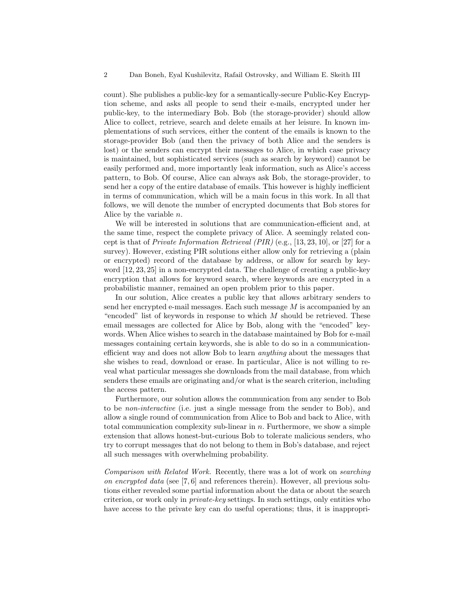count). She publishes a public-key for a semantically-secure Public-Key Encryption scheme, and asks all people to send their e-mails, encrypted under her public-key, to the intermediary Bob. Bob (the storage-provider) should allow Alice to collect, retrieve, search and delete emails at her leisure. In known implementations of such services, either the content of the emails is known to the storage-provider Bob (and then the privacy of both Alice and the senders is lost) or the senders can encrypt their messages to Alice, in which case privacy is maintained, but sophisticated services (such as search by keyword) cannot be easily performed and, more importantly leak information, such as Alice's access pattern, to Bob. Of course, Alice can always ask Bob, the storage-provider, to send her a copy of the entire database of emails. This however is highly inefficient in terms of communication, which will be a main focus in this work. In all that follows, we will denote the number of encrypted documents that Bob stores for Alice by the variable n.

We will be interested in solutions that are communication-efficient and, at the same time, respect the complete privacy of Alice. A seemingly related concept is that of *Private Information Retrieval (PIR)* (e.g., [13, 23, 10], or [27] for a survey). However, existing PIR solutions either allow only for retrieving a (plain or encrypted) record of the database by address, or allow for search by keyword [12, 23, 25] in a non-encrypted data. The challenge of creating a public-key encryption that allows for keyword search, where keywords are encrypted in a probabilistic manner, remained an open problem prior to this paper.

In our solution, Alice creates a public key that allows arbitrary senders to send her encrypted e-mail messages. Each such message  $M$  is accompanied by an "encoded" list of keywords in response to which  $M$  should be retrieved. These email messages are collected for Alice by Bob, along with the "encoded" keywords. When Alice wishes to search in the database maintained by Bob for e-mail messages containing certain keywords, she is able to do so in a communicationefficient way and does not allow Bob to learn anything about the messages that she wishes to read, download or erase. In particular, Alice is not willing to reveal what particular messages she downloads from the mail database, from which senders these emails are originating and/or what is the search criterion, including the access pattern.

Furthermore, our solution allows the communication from any sender to Bob to be non-interactive (i.e. just a single message from the sender to Bob), and allow a single round of communication from Alice to Bob and back to Alice, with total communication complexity sub-linear in  $n$ . Furthermore, we show a simple extension that allows honest-but-curious Bob to tolerate malicious senders, who try to corrupt messages that do not belong to them in Bob's database, and reject all such messages with overwhelming probability.

Comparison with Related Work. Recently, there was a lot of work on searching on encrypted data (see [7, 6] and references therein). However, all previous solutions either revealed some partial information about the data or about the search criterion, or work only in private-key settings. In such settings, only entities who have access to the private key can do useful operations; thus, it is inappropri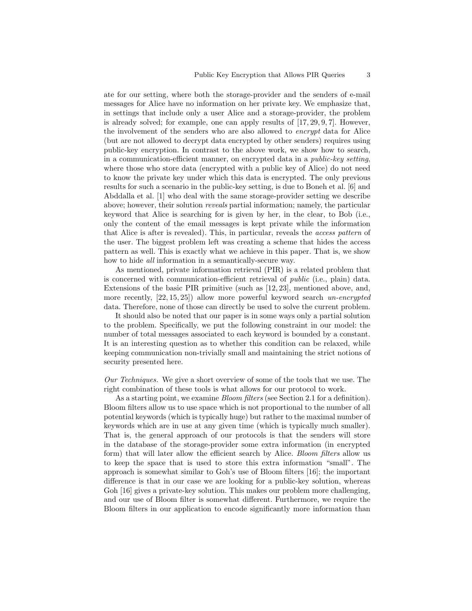ate for our setting, where both the storage-provider and the senders of e-mail messages for Alice have no information on her private key. We emphasize that, in settings that include only a user Alice and a storage-provider, the problem is already solved; for example, one can apply results of [17, 29, 9, 7]. However, the involvement of the senders who are also allowed to encrypt data for Alice (but are not allowed to decrypt data encrypted by other senders) requires using public-key encryption. In contrast to the above work, we show how to search, in a communication-efficient manner, on encrypted data in a public-key setting, where those who store data (encrypted with a public key of Alice) do not need to know the private key under which this data is encrypted. The only previous results for such a scenario in the public-key setting, is due to Boneh et al. [6] and Abddalla et al. [1] who deal with the same storage-provider setting we describe above; however, their solution reveals partial information; namely, the particular keyword that Alice is searching for is given by her, in the clear, to Bob (i.e., only the content of the email messages is kept private while the information that Alice is after is revealed). This, in particular, reveals the access pattern of the user. The biggest problem left was creating a scheme that hides the access pattern as well. This is exactly what we achieve in this paper. That is, we show how to hide *all* information in a semantically-secure way.

As mentioned, private information retrieval (PIR) is a related problem that is concerned with communication-efficient retrieval of public (i.e., plain) data. Extensions of the basic PIR primitive (such as [12, 23], mentioned above, and, more recently,  $[22, 15, 25]$  allow more powerful keyword search un-encrypted data. Therefore, none of those can directly be used to solve the current problem.

It should also be noted that our paper is in some ways only a partial solution to the problem. Specifically, we put the following constraint in our model: the number of total messages associated to each keyword is bounded by a constant. It is an interesting question as to whether this condition can be relaxed, while keeping communication non-trivially small and maintaining the strict notions of security presented here.

Our Techniques. We give a short overview of some of the tools that we use. The right combination of these tools is what allows for our protocol to work.

As a starting point, we examine *Bloom filters* (see Section 2.1 for a definition). Bloom filters allow us to use space which is not proportional to the number of all potential keywords (which is typically huge) but rather to the maximal number of keywords which are in use at any given time (which is typically much smaller). That is, the general approach of our protocols is that the senders will store in the database of the storage-provider some extra information (in encrypted form) that will later allow the efficient search by Alice. Bloom filters allow us to keep the space that is used to store this extra information "small". The approach is somewhat similar to Goh's use of Bloom filters [16]; the important difference is that in our case we are looking for a public-key solution, whereas Goh [16] gives a private-key solution. This makes our problem more challenging, and our use of Bloom filter is somewhat different. Furthermore, we require the Bloom filters in our application to encode significantly more information than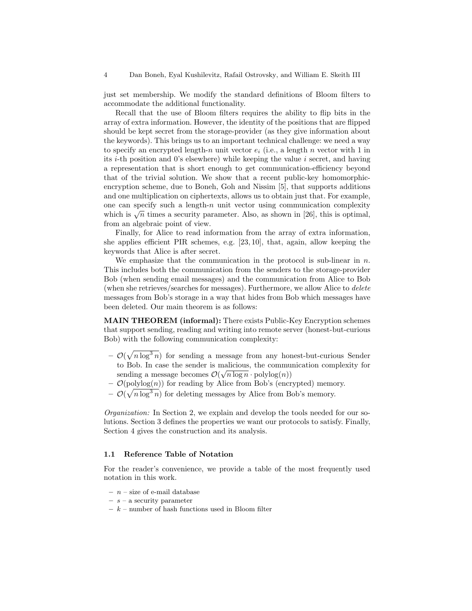just set membership. We modify the standard definitions of Bloom filters to accommodate the additional functionality.

Recall that the use of Bloom filters requires the ability to flip bits in the array of extra information. However, the identity of the positions that are flipped should be kept secret from the storage-provider (as they give information about the keywords). This brings us to an important technical challenge: we need a way to specify an encrypted length-n unit vector  $e_i$  (i.e., a length n vector with 1 in its  $i$ -th position and 0's elsewhere) while keeping the value  $i$  secret, and having a representation that is short enough to get communication-efficiency beyond that of the trivial solution. We show that a recent public-key homomorphicencryption scheme, due to Boneh, Goh and Nissim [5], that supports additions and one multiplication on ciphertexts, allows us to obtain just that. For example, one can specify such a length-n unit vector using communication complexity one can specify such a length-*n* time vector using communication complexity which is  $\sqrt{n}$  times a security parameter. Also, as shown in [26], this is optimal, from an algebraic point of view.

Finally, for Alice to read information from the array of extra information, she applies efficient PIR schemes, e.g. [23, 10], that, again, allow keeping the keywords that Alice is after secret.

We emphasize that the communication in the protocol is sub-linear in  $n$ . This includes both the communication from the senders to the storage-provider Bob (when sending email messages) and the communication from Alice to Bob (when she retrieves/searches for messages). Furthermore, we allow Alice to delete messages from Bob's storage in a way that hides from Bob which messages have been deleted. Our main theorem is as follows:

MAIN THEOREM (informal): There exists Public-Key Encryption schemes that support sending, reading and writing into remote server (honest-but-curious Bob) with the following communication complexity:

- $\mathcal{O}(\sqrt{n \log^3 n})$  for sending a message from any honest-but-curious Sender to Bob. In case the sender is malicious, the communication complexity for sending a message becomes  $\mathcal{O}(\sqrt{n \log n} \cdot \text{polylog}(n))$
- $\mathcal{O}(\text{polylog}(n))$  for reading by Alice from Bob's (encrypted) memory.
- $\mathcal{O}(\sqrt{n \log^3 n})$  for deleting messages by Alice from Bob's memory.

Organization: In Section 2, we explain and develop the tools needed for our solutions. Section 3 defines the properties we want our protocols to satisfy. Finally, Section 4 gives the construction and its analysis.

## 1.1 Reference Table of Notation

For the reader's convenience, we provide a table of the most frequently used notation in this work.

- $n size of e-mail database$
- $s a$  security parameter
- $k$  number of hash functions used in Bloom filter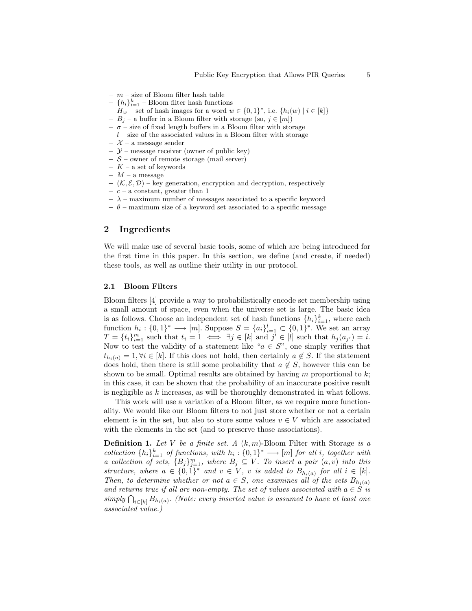- $-$  m  $-$  size of Bloom filter hash table
- $-$  { $h_i$ }<sup>k</sup><sub>i=1</sub> Bloom filter hash functions
- $-H_w$  set of hash images for a word  $w \in \{0,1\}^*$ , i.e.  $\{h_i(w) \mid i \in [k]\}$
- $B_j$  a buffer in a Bloom filter with storage (so,  $j \in [m]$ )
- $-\sigma$  size of fixed length buffers in a Bloom filter with storage
- $l$  size of the associated values in a Bloom filter with storage
- $\mathcal{X}$  a message sender
- $\mathcal{Y}$  message receiver (owner of public key)
- $-$  S owner of remote storage (mail server)
- $-$  K a set of keywords
- $M a$  message
- $(\mathcal{K}, \mathcal{E}, \mathcal{D})$  key generation, encryption and decryption, respectively
- $c a constant, greater than 1$
- $-\lambda$  maximum number of messages associated to a specific keyword
- $-\theta$  maximum size of a keyword set associated to a specific message

## 2 Ingredients

We will make use of several basic tools, some of which are being introduced for the first time in this paper. In this section, we define (and create, if needed) these tools, as well as outline their utility in our protocol.

#### 2.1 Bloom Filters

Bloom filters [4] provide a way to probabilistically encode set membership using a small amount of space, even when the universe set is large. The basic idea is as follows. Choose an independent set of hash functions  $\{h_i\}_{i=1}^k$ , where each function  $h_i: \{0,1\}^* \longrightarrow [m]$ . Suppose  $S = \{a_i\}_{i=1}^l \subset \{0,1\}^*$ . We set an array  $T = \{t_i\}_{i=1}^m$  such that  $t_i = 1 \iff \exists j \in [k]$  and  $j' \in [l]$  such that  $h_j(a_{j'}) = i$ . Now to test the validity of a statement like " $a \in S$ ", one simply verifies that  $t_{h_i(a)} = 1, \forall i \in [k]$ . If this does not hold, then certainly  $a \notin S$ . If the statement does hold, then there is still some probability that  $a \notin S$ , however this can be shown to be small. Optimal results are obtained by having  $m$  proportional to  $k$ ; in this case, it can be shown that the probability of an inaccurate positive result is negligible as k increases, as will be thoroughly demonstrated in what follows.

This work will use a variation of a Bloom filter, as we require more functionality. We would like our Bloom filters to not just store whether or not a certain element is in the set, but also to store some values  $v \in V$  which are associated with the elements in the set (and to preserve those associations).

**Definition 1.** Let V be a finite set. A  $(k, m)$ -Bloom Filter with Storage is a collection  $\{h_i\}_{i=1}^k$  of functions, with  $h_i: \{0,1\}^* \longrightarrow [m]$  for all i, together with a collection of sets,  ${B_j}_{j=1}^m$ , where  $B_j \subseteq V$ . To insert a pair  $(a, v)$  into this structure, where  $a \in \{0,1\}^*$  and  $v \in V$ , v is added to  $B_{h_i(a)}$  for all  $i \in [k]$ . Then, to determine whether or not  $a \in S$ , one examines all of the sets  $B_{h_i(a)}$ and returns true if all are non-empty. The set of values associated with  $a \in S$  is  $\{simplify\ \bigcap_{i\in[k]} B_{h_i(a)}\$ . (Note: every inserted value is assumed to have at least one associated value.)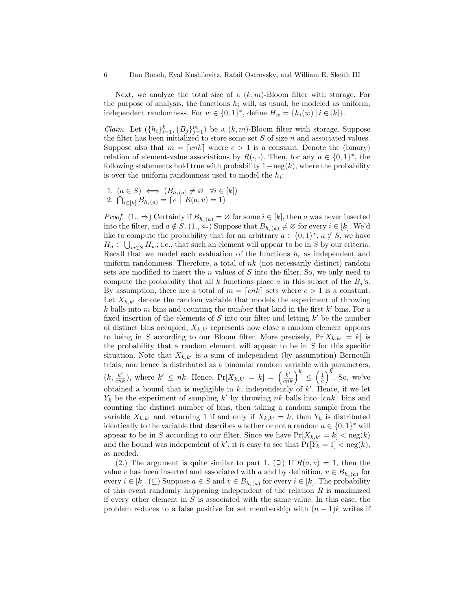Next, we analyze the total size of a  $(k, m)$ -Bloom filter with storage. For the purpose of analysis, the functions  $h_i$  will, as usual, be modeled as uniform, independent randomness. For  $w \in \{0,1\}^*$ , define  $H_w = \{h_i(w) | i \in [k]\}.$ 

*Claim.* Let  $({h_i}_{i=1}^k, {B_j}_{j=1}^m)$  be a  $(k, m)$ -Bloom filter with storage. Suppose the filter has been initialized to store some set  $S$  of size  $n$  and associated values. Suppose also that  $m = \lceil cnk \rceil$  where  $c > 1$  is a constant. Denote the (binary) relation of element-value associations by  $R(\cdot, \cdot)$ . Then, for any  $a \in \{0, 1\}^*$ , the following statements hold true with probability  $1-\text{neg}(k)$ , where the probability is over the uniform randomness used to model the  $h_i$ :

- 1.  $(a \in S) \iff (B_{h_i(a)} \neq \emptyset \quad \forall i \in [k])$
- 2.  $\bigcap_{i\in[k]} B_{h_i(a)} = \{v \mid R(a, v) = 1\}$

*Proof.*  $(1., \Rightarrow)$  Certainly if  $B_{h_i(a)} = \emptyset$  for some  $i \in [k]$ , then a was never inserted into the filter, and  $a \notin S$ .  $(1, \Leftarrow)$  Suppose that  $B_{h_i(a)} \neq \emptyset$  for every  $i \in [k]$ . We'd like to compute the probability that for an arbitrary  $a \in \{0,1\}^*$ ,  $a \notin S$ , we have  $H_a \subset \bigcup_{w \in S} H_w$ ; i.e., that such an element will appear to be in S by our criteria. Recall that we model each evaluation of the functions  $h_i$  as independent and uniform randomness. Therefore, a total of  $nk$  (not necessarily distinct) random sets are modified to insert the  $n$  values of  $S$  into the filter. So, we only need to compute the probability that all k functions place a in this subset of the  $B_i$ 's. By assumption, there are a total of  $m = \lfloor cnk \rfloor$  sets where  $c > 1$  is a constant. Let  $X_{k,k'}$  denote the random variable that models the experiment of throwing  $k$  balls into  $m$  bins and counting the number that land in the first  $k'$  bins. For a fixed insertion of the elements of  $S$  into our filter and letting  $k'$  be the number of distinct bins occupied,  $X_{k,k'}$  represents how close a random element appears to being in S according to our Bloom filter. More precisely,  $Pr[X_{k,k'} = k]$  is the probability that a random element will appear to be in  $S$  for this specific situation. Note that  $X_{k,k'}$  is a sum of independent (by assumption) Bernoulli trials, and hence is distributed as a binomial random variable with parameters,  $(k, \frac{k'}{cnk})$ , where  $k' \leq nk$ . Hence,  $Pr[X_{k,k'} = k] = \left(\frac{k'}{cnk}\right)^k \leq \left(\frac{1}{c}\right)^k$ . So, we've obtained a bound that is negligible in  $k$ , independently of  $k'$ . Hence, if we let  $Y_k$  be the experiment of sampling k' by throwing nk balls into  $\lceil cnk \rceil$  bins and counting the distinct number of bins, then taking a random sample from the variable  $X_{k,k'}$  and returning 1 if and only if  $X_{k,k'} = k$ , then  $Y_k$  is distributed identically to the variable that describes whether or not a random  $a \in \{0,1\}^*$  will appear to be in S according to our filter. Since we have  $Pr[X_{k,k'} = k] < neg(k)$ and the bound was independent of k', it is easy to see that  $Pr[Y_k = 1] < neg(k)$ , as needed.

(2.) The argument is quite similar to part 1. (2) If  $R(a, v) = 1$ , then the value v has been inserted and associated with a and by definition,  $v \in B_{h_i(a)}$  for every  $i \in [k]$ . ( $\subseteq$ ) Suppose  $a \in S$  and  $v \in B_{h_i(a)}$  for every  $i \in [k]$ . The probability of this event randomly happening independent of the relation  $R$  is maximized if every other element in  $S$  is associated with the same value. In this case, the problem reduces to a false positive for set membership with  $(n-1)k$  writes if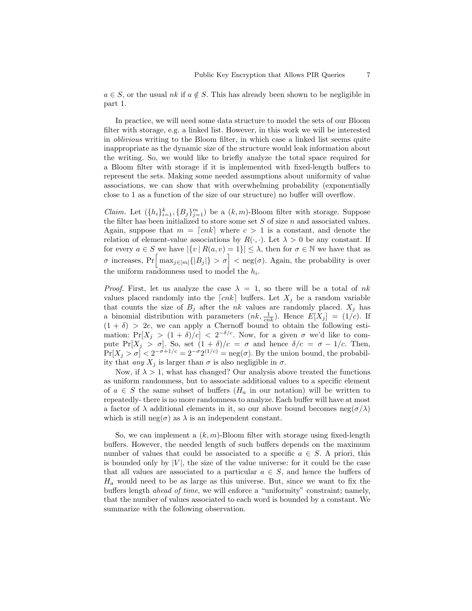$a \in S$ , or the usual nk if  $a \notin S$ . This has already been shown to be negligible in part 1.

In practice, we will need some data structure to model the sets of our Bloom filter with storage, e.g. a linked list. However, in this work we will be interested in oblivious writing to the Bloom filter, in which case a linked list seems quite inappropriate as the dynamic size of the structure would leak information about the writing. So, we would like to briefly analyze the total space required for a Bloom filter with storage if it is implemented with fixed-length buffers to represent the sets. Making some needed assumptions about uniformity of value associations, we can show that with overwhelming probability (exponentially close to 1 as a function of the size of our structure) no buffer will overflow.

*Claim.* Let  $({h_i}_{i=1}^k, {B_j}_{j=1}^m)$  be a  $(k, m)$ -Bloom filter with storage. Suppose the filter has been initialized to store some set  $S$  of size  $n$  and associated values. Again, suppose that  $m = \lfloor cnk \rfloor$  where  $c > 1$  is a constant, and denote the relation of element-value associations by  $R(\cdot, \cdot)$ . Let  $\lambda > 0$  be any constant. If for every  $a \in S$  we have  $|\{v \mid R(a, v) = 1\}| \leq \lambda$ , then for  $\sigma \in \mathbb{N}$  we have that as σ increases,  $Pr \left[ \max_{j \in [m]} \{|B_j|\} > \sigma \right] < neg(\sigma)$ . Again, the probability is over the uniform randomness used to model the  $h_i$ .

*Proof.* First, let us analyze the case  $\lambda = 1$ , so there will be a total of nk values placed randomly into the  $\lceil cnk \rceil$  buffers. Let  $X_j$  be a random variable that counts the size of  $B_j$  after the nk values are randomly placed.  $X_j$  has a binomial distribution with parameters  $(nk, \frac{1}{cnk})$ . Hence  $E[X_j] = (1/c)$ . If  $(1 + \delta) > 2e$ , we can apply a Chernoff bound to obtain the following estimation:  $Pr[X_j > (1 + \delta)/c] < 2^{-\delta/c}$ . Now, for a given  $\sigma$  we'd like to compute Pr[ $X_j > \sigma$ ]. So, set  $(1 + \delta)/c = \sigma$  and hence  $\delta/c = \sigma - 1/c$ . Then,  $\Pr[X_j > \sigma] < 2^{-\sigma+1/c} = 2^{-\sigma} 2^{(1/c)} = \text{neg}(\sigma)$ . By the union bound, the probability that any  $X_j$  is larger than  $\sigma$  is also negligible in  $\sigma$ .

Now, if  $\lambda > 1$ , what has changed? Our analysis above treated the functions as uniform randomness, but to associate additional values to a specific element of  $a \in S$  the same subset of buffers  $(H_a \text{ in our notation})$  will be written to repeatedly- there is no more randomness to analyze. Each buffer will have at most a factor of  $\lambda$  additional elements in it, so our above bound becomes  $neg(\sigma/\lambda)$ which is still neg( $\sigma$ ) as  $\lambda$  is an independent constant.

So, we can implement a  $(k, m)$ -Bloom filter with storage using fixed-length buffers. However, the needed length of such buffers depends on the maximum number of values that could be associated to a specific  $a \in S$ . A priori, this is bounded only by  $|V|$ , the size of the value universe: for it could be the case that all values are associated to a particular  $a \in S$ , and hence the buffers of  $H_a$  would need to be as large as this universe. But, since we want to fix the buffers length ahead of time, we will enforce a "uniformity" constraint; namely, that the number of values associated to each word is bounded by a constant. We summarize with the following observation.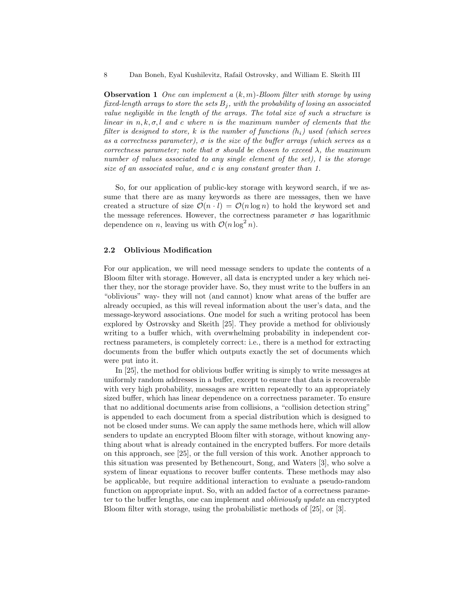**Observation 1** One can implement a  $(k, m)$ -Bloom filter with storage by using fixed-length arrays to store the sets  $B_i$ , with the probability of losing an associated value negligible in the length of the arrays. The total size of such a structure is linear in  $n, k, \sigma, l$  and c where n is the maximum number of elements that the filter is designed to store, k is the number of functions  $(h_i)$  used (which serves as a correctness parameter),  $\sigma$  is the size of the buffer arrays (which serves as a correctness parameter; note that  $\sigma$  should be chosen to exceed  $\lambda$ , the maximum number of values associated to any single element of the set), l is the storage size of an associated value, and c is any constant greater than 1.

So, for our application of public-key storage with keyword search, if we assume that there are as many keywords as there are messages, then we have created a structure of size  $\mathcal{O}(n \cdot l) = \mathcal{O}(n \log n)$  to hold the keyword set and the message references. However, the correctness parameter  $\sigma$  has logarithmic dependence on *n*, leaving us with  $\mathcal{O}(n \log^2 n)$ .

## 2.2 Oblivious Modification

For our application, we will need message senders to update the contents of a Bloom filter with storage. However, all data is encrypted under a key which neither they, nor the storage provider have. So, they must write to the buffers in an "oblivious" way- they will not (and cannot) know what areas of the buffer are already occupied, as this will reveal information about the user's data, and the message-keyword associations. One model for such a writing protocol has been explored by Ostrovsky and Skeith [25]. They provide a method for obliviously writing to a buffer which, with overwhelming probability in independent correctness parameters, is completely correct: i.e., there is a method for extracting documents from the buffer which outputs exactly the set of documents which were put into it.

In [25], the method for oblivious buffer writing is simply to write messages at uniformly random addresses in a buffer, except to ensure that data is recoverable with very high probability, messages are written repeatedly to an appropriately sized buffer, which has linear dependence on a correctness parameter. To ensure that no additional documents arise from collisions, a "collision detection string" is appended to each document from a special distribution which is designed to not be closed under sums. We can apply the same methods here, which will allow senders to update an encrypted Bloom filter with storage, without knowing anything about what is already contained in the encrypted buffers. For more details on this approach, see [25], or the full version of this work. Another approach to this situation was presented by Bethencourt, Song, and Waters [3], who solve a system of linear equations to recover buffer contents. These methods may also be applicable, but require additional interaction to evaluate a pseudo-random function on appropriate input. So, with an added factor of a correctness parameter to the buffer lengths, one can implement and obliviously update an encrypted Bloom filter with storage, using the probabilistic methods of [25], or [3].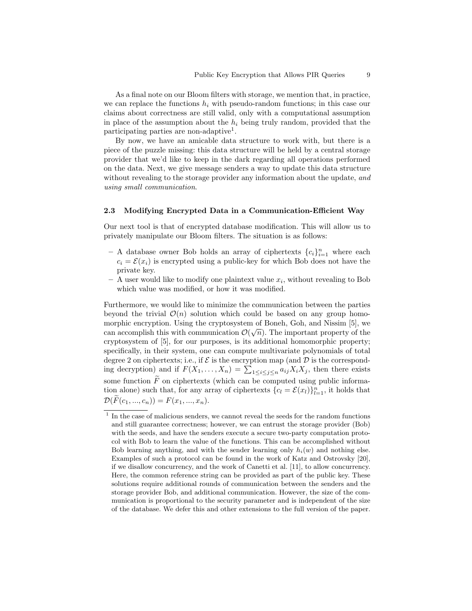As a final note on our Bloom filters with storage, we mention that, in practice, we can replace the functions  $h_i$  with pseudo-random functions; in this case our claims about correctness are still valid, only with a computational assumption in place of the assumption about the  $h_i$  being truly random, provided that the participating parties are non-adaptive<sup>1</sup>.

By now, we have an amicable data structure to work with, but there is a piece of the puzzle missing: this data structure will be held by a central storage provider that we'd like to keep in the dark regarding all operations performed on the data. Next, we give message senders a way to update this data structure without revealing to the storage provider any information about the update, and using small communication.

## 2.3 Modifying Encrypted Data in a Communication-Efficient Way

Our next tool is that of encrypted database modification. This will allow us to privately manipulate our Bloom filters. The situation is as follows:

- A database owner Bob holds an array of ciphertexts  ${c_i}_{i=1}^n$  where each  $c_i = \mathcal{E}(x_i)$  is encrypted using a public-key for which Bob does not have the private key.
- $-$  A user would like to modify one plaintext value  $x_i$ , without revealing to Bob which value was modified, or how it was modified.

Furthermore, we would like to minimize the communication between the parties beyond the trivial  $\mathcal{O}(n)$  solution which could be based on any group homomorphic encryption. Using the cryptosystem of Boneh, Goh, and Nissim [5], we can accomplish this with communication  $\mathcal{O}(\sqrt{n})$ . The important property of the cryptosystem of [5], for our purposes, is its additional homomorphic property; specifically, in their system, one can compute multivariate polynomials of total degree 2 on ciphertexts; i.e., if  $\mathcal E$  is the encryption map (and  $\mathcal D$  is the corresponding decryption) and if  $F(X_1, \ldots, X_n) = \sum_{1 \leq i \leq j \leq n} a_{ij} X_i X_j$ , then there exists some function  $\widetilde{F}$  on ciphertexts (which can be computed using public information alone) such that, for any array of ciphertexts  ${c_l = \mathcal{E}(x_l)}_{l=1}^n$ , it holds that  $\mathcal{D}(F(c_1, ..., c_n)) = F(x_1, ..., x_n).$ 

<sup>&</sup>lt;sup>1</sup> In the case of malicious senders, we cannot reveal the seeds for the random functions and still guarantee correctness; however, we can entrust the storage provider (Bob) with the seeds, and have the senders execute a secure two-party computation protocol with Bob to learn the value of the functions. This can be accomplished without Bob learning anything, and with the sender learning only  $h_i(w)$  and nothing else. Examples of such a protocol can be found in the work of Katz and Ostrovsky [20], if we disallow concurrency, and the work of Canetti et al. [11], to allow concurrency. Here, the common reference string can be provided as part of the public key. These solutions require additional rounds of communication between the senders and the storage provider Bob, and additional communication. However, the size of the communication is proportional to the security parameter and is independent of the size of the database. We defer this and other extensions to the full version of the paper.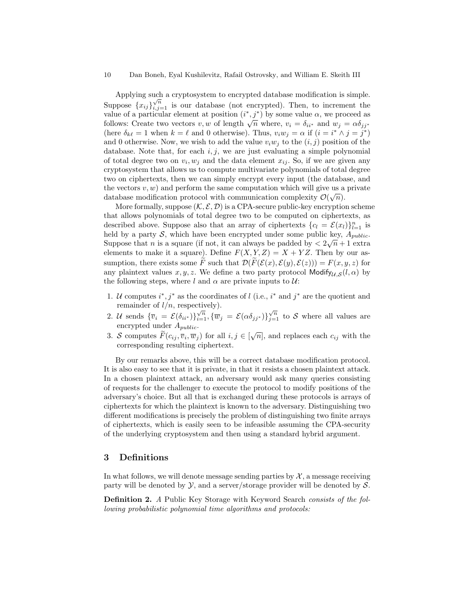#### 10 Dan Boneh, Eyal Kushilevitz, Rafail Ostrovsky, and William E. Skeith III

Applying such a cryptosystem to encrypted database modification is simple. √ Suppose  ${x_{ij}}_{i,j=1}^{\sqrt{n}}$  is our database (not encrypted). Then, to increment the value of a particular element at position  $(i^*, j^*)$  by some value  $\alpha$ , we proceed as value of a particular element at position  $(i, j)$  by some value  $\alpha$ , we proceed as follows: Create two vectors  $v, w$  of length  $\sqrt{n}$  where,  $v_i = \delta_{ii^*}$  and  $w_j = \alpha \delta_{jj^*}$ (here  $\delta_{k\ell} = 1$  when  $k = \ell$  and 0 otherwise). Thus,  $v_i w_j = \alpha$  if  $(i = i^* \wedge j = j^*)$ and 0 otherwise. Now, we wish to add the value  $v_iw_j$  to the  $(i, j)$  position of the database. Note that, for each  $i, j$ , we are just evaluating a simple polynomial of total degree two on  $v_i, w_j$  and the data element  $x_{ij}$ . So, if we are given any cryptosystem that allows us to compute multivariate polynomials of total degree two on ciphertexts, then we can simply encrypt every input (the database, and the vectors  $v, w$ ) and perform the same computation which will give us a private database modification protocol with communication complexity  $\mathcal{O}(\sqrt{n})$ .

More formally, suppose  $(\mathcal{K}, \mathcal{E}, \mathcal{D})$  is a CPA-secure public-key encryption scheme that allows polynomials of total degree two to be computed on ciphertexts, as described above. Suppose also that an array of ciphertexts  $\{c_l = \mathcal{E}(x_l)\}_{l=1}^n$  is held by a party  $S$ , which have been encrypted under some public key,  $A_{public}$ . Suppose that *n* is a square (if not, it can always be padded by  $\langle 2\sqrt{n}+1 \rangle$  extra elements to make it a square). Define  $F(X, Y, Z) = X + YZ$ . Then by our assumption, there exists some F such that  $\mathcal{D}(F(\mathcal{E}(x), \mathcal{E}(y), \mathcal{E}(z))) = F(x, y, z)$  for any plaintext values  $x, y, z$ . We define a two party protocol Modify<sub>U, S</sub>(l,  $\alpha$ ) by the following steps, where l and  $\alpha$  are private inputs to  $\mathcal{U}$ :

- 1. *U* computes  $i^*, j^*$  as the coordinates of *l* (i.e.,  $i^*$  and  $j^*$  are the quotient and remainder of  $l/n$ , respectively).
- 2. U sends  ${\overline{v}_i = \mathcal{E}(\delta_{ii^*})\}_{i=1}^{\sqrt{n}}$ ,  ${\overline{w}_j = \mathcal{E}(\alpha \delta_{jj^*})\}_{j=1}^{\sqrt{n}}$  to S where all values are encrypted under  $A_{public}$ .
- 3. S computes  $\widetilde{F}(c_{ij}, \overline{v}_i, \overline{w}_j)$  for all  $i, j \in [\sqrt{n}]$ , and replaces each  $c_{ij}$  with the corresponding resulting ciphertext.

By our remarks above, this will be a correct database modification protocol. It is also easy to see that it is private, in that it resists a chosen plaintext attack. In a chosen plaintext attack, an adversary would ask many queries consisting of requests for the challenger to execute the protocol to modify positions of the adversary's choice. But all that is exchanged during these protocols is arrays of ciphertexts for which the plaintext is known to the adversary. Distinguishing two different modifications is precisely the problem of distinguishing two finite arrays of ciphertexts, which is easily seen to be infeasible assuming the CPA-security of the underlying cryptosystem and then using a standard hybrid argument.

# 3 Definitions

In what follows, we will denote message sending parties by  $\mathcal{X}$ , a message receiving party will be denoted by  $\mathcal{Y}$ , and a server/storage provider will be denoted by  $\mathcal{S}$ .

Definition 2. A Public Key Storage with Keyword Search consists of the following probabilistic polynomial time algorithms and protocols: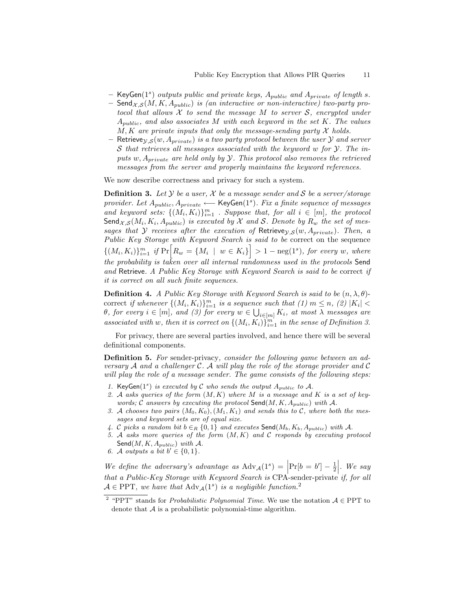- KeyGen( $1<sup>s</sup>$ ) outputs public and private keys,  $A_{public}$  and  $A_{private}$  of length s.
- $-$  Send $_{\mathcal{X},\mathcal{S}}(M,K,A_{public})$  is (an interactive or non-interactive) two-party protocol that allows  $X$  to send the message  $M$  to server  $S$ , encrypted under  $A_{public}$ , and also associates M with each keyword in the set K. The values  $M, K$  are private inputs that only the message-sending party  $\mathcal X$  holds.
- Retrieve $y,s(w, A_{private})$  is a two party protocol between the user  $Y$  and server  $S$  that retrieves all messages associated with the keyword w for  $Y$ . The inputs w,  $A_{\text{private}}$  are held only by  $\mathcal Y$ . This protocol also removes the retrieved messages from the server and properly maintains the keyword references.

We now describe correctness and privacy for such a system.

**Definition 3.** Let  $\mathcal{Y}$  be a user,  $\mathcal{X}$  be a message sender and  $\mathcal{S}$  be a server/storage provider. Let  $A_{public}$ ,  $A_{private}$  ← KeyGen(1<sup>s</sup>). Fix a finite sequence of messages and keyword sets:  $\{(M_i, K_i)\}_{i=1}^m$ . Suppose that, for all  $i \in [m]$ , the protocol Send $X_{\mathcal{S}}(M_i, K_i, A_{public})$  is executed by X and S. Denote by  $R_w$  the set of messages that Y receives after the execution of Retrieve<sub>Y,S</sub>(w, A<sub>private</sub>). Then, a Public Key Storage with Keyword Search is said to be correct on the sequence  $\{(M_i, K_i)\}_{i=1}^m$  if  $Pr\Big[R_w = \{M_i \mid w \in K_i\}\Big] > 1 - neg(1^s)$ , for every w, where the probability is taken over all internal randomness used in the protocols Send and Retrieve. A Public Key Storage with Keyword Search is said to be correct if it is correct on all such finite sequences.

**Definition 4.** A Public Key Storage with Keyword Search is said to be  $(n, \lambda, \theta)$ correct if whenever  $\{(M_i, K_i)\}_{i=1}^m$  is a sequence such that  $(1)$   $m \leq n$ ,  $(2)$   $|K_i|$  $\theta$ , for every  $i \in [m]$ , and (3) for every  $w \in \bigcup_{i \in [m]} K_i$ , at most  $\lambda$  messages are associated with w, then it is correct on  $\{(M_i, K_i)\}_{i=1}^m$  in the sense of Definition 3.

For privacy, there are several parties involved, and hence there will be several definitional components.

Definition 5. For sender-privacy, consider the following game between an adversary A and a challenger C. A will play the role of the storage provider and  $\mathcal C$ will play the role of a message sender. The game consists of the following steps:

- 1. KeyGen( $1^s$ ) is executed by C who sends the output  $A_{public}$  to A.
- 2. A asks queries of the form  $(M, K)$  where M is a message and K is a set of keywords;  $C$  answers by executing the protocol  $\mathsf{Send}(M, K, A_{public})$  with  $\mathcal{A}$ .
- 3. A chooses two pairs  $(M_0, K_0), (M_1, K_1)$  and sends this to C, where both the messages and keyword sets are of equal size.
- 4. C picks a random bit  $b \in R \{0,1\}$  and executes  $\mathsf{Send}(M_b, K_b, A_{public})$  with A.
- 5. A asks more queries of the form  $(M, K)$  and C responds by executing protocol Send $(M, K, A_{public})$  with A.
- 6. A outputs a bit  $b' \in \{0,1\}.$

We define the adversary's advantage as  $\text{Adv}_{\mathcal{A}}(1^s) = |\text{Pr}[b = b'] - \frac{1}{2}|$ . We say that a Public-Key Storage with Keyword Search is CPA-sender-private if, for all  $A \in \text{PPT}$ , we have that  $\text{Adv}_{\mathcal{A}}(1^s)$  is a negligible function.<sup>2</sup>

<sup>&</sup>lt;sup>2</sup> "PPT" stands for *Probabilistic Polynomial Time*. We use the notation  $A \in PPT$  to denote that  $A$  is a probabilistic polynomial-time algorithm.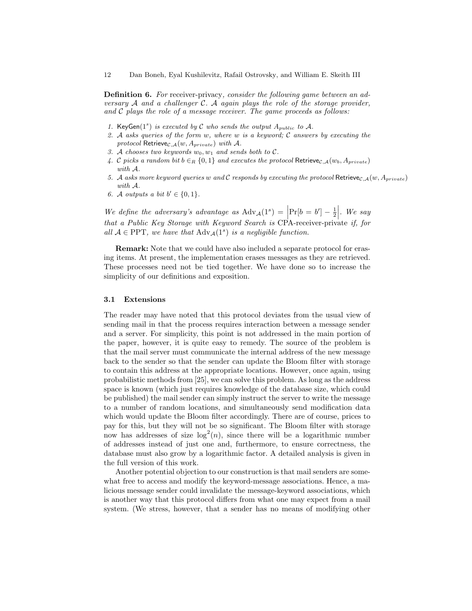Definition 6. For receiver-privacy, consider the following game between an adversary  $A$  and a challenger  $C$ . A again plays the role of the storage provider, and  $\mathcal C$  plays the role of a message receiver. The game proceeds as follows:

- 1. KeyGen( $1^s$ ) is executed by C who sends the output  $A_{public}$  to A.
- 2. A asks queries of the form  $w$ , where  $w$  is a keyword;  $\mathcal C$  answers by executing the protocol Retrievec,  $A(w, A_{private})$  with A.
- 3. A chooses two keywords  $w_0, w_1$  and sends both to C.
- 4. C picks a random bit  $b \in_R \{0,1\}$  and executes the protocol Retrievec,  $A(w_b, A_{private})$ with A.
- 5. A asks more keyword queries w and C responds by executing the protocol Retrievec,  $\mathcal{A}(w, A_{private})$ with A.
- 6. A outputs a bit  $b' \in \{0, 1\}.$

We define the adversary's advantage as  $\text{Adv}_{\mathcal{A}}(1^s) = |\text{Pr}[b = b'] - \frac{1}{2}|$ . We say that a Public Key Storage with Keyword Search is CPA-receiver-private if, for all  $A \in \text{PPT}$ , we have that  $\text{Adv}_{\mathcal{A}}(1^s)$  is a negligible function.

Remark: Note that we could have also included a separate protocol for erasing items. At present, the implementation erases messages as they are retrieved. These processes need not be tied together. We have done so to increase the simplicity of our definitions and exposition.

#### 3.1 Extensions

The reader may have noted that this protocol deviates from the usual view of sending mail in that the process requires interaction between a message sender and a server. For simplicity, this point is not addressed in the main portion of the paper, however, it is quite easy to remedy. The source of the problem is that the mail server must communicate the internal address of the new message back to the sender so that the sender can update the Bloom filter with storage to contain this address at the appropriate locations. However, once again, using probabilistic methods from [25], we can solve this problem. As long as the address space is known (which just requires knowledge of the database size, which could be published) the mail sender can simply instruct the server to write the message to a number of random locations, and simultaneously send modification data which would update the Bloom filter accordingly. There are of course, prices to pay for this, but they will not be so significant. The Bloom filter with storage now has addresses of size  $log<sup>2</sup>(n)$ , since there will be a logarithmic number of addresses instead of just one and, furthermore, to ensure correctness, the database must also grow by a logarithmic factor. A detailed analysis is given in the full version of this work.

Another potential objection to our construction is that mail senders are somewhat free to access and modify the keyword-message associations. Hence, a malicious message sender could invalidate the message-keyword associations, which is another way that this protocol differs from what one may expect from a mail system. (We stress, however, that a sender has no means of modifying other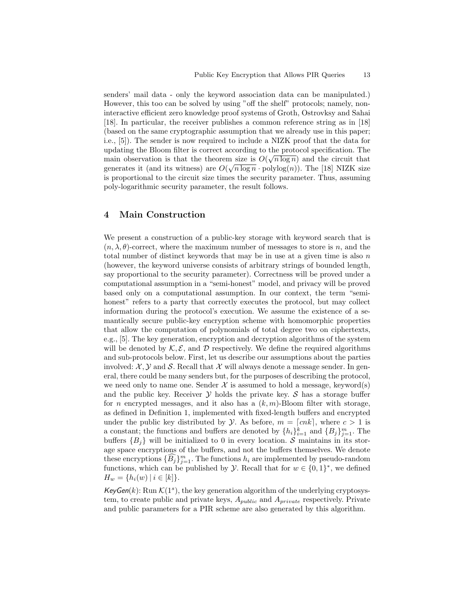senders' mail data - only the keyword association data can be manipulated.) However, this too can be solved by using "off the shelf" protocols; namely, noninteractive efficient zero knowledge proof systems of Groth, Ostrovksy and Sahai [18]. In particular, the receiver publishes a common reference string as in [18] (based on the same cryptographic assumption that we already use in this paper; i.e., [5]). The sender is now required to include a NIZK proof that the data for updating the Bloom filter is correct according to the protocol specification. The main observation is that the theorem size is  $O(\sqrt{n \log n})$  and the circuit that generates it (and its witness) are  $O(\sqrt{n \log n} \cdot \text{polylog}(n))$ . The [18] NIZK size is proportional to the circuit size times the security parameter. Thus, assuming poly-logarithmic security parameter, the result follows.

# 4 Main Construction

We present a construction of a public-key storage with keyword search that is  $(n, \lambda, \theta)$ -correct, where the maximum number of messages to store is n, and the total number of distinct keywords that may be in use at a given time is also  $n$ (however, the keyword universe consists of arbitrary strings of bounded length, say proportional to the security parameter). Correctness will be proved under a computational assumption in a "semi-honest" model, and privacy will be proved based only on a computational assumption. In our context, the term "semihonest" refers to a party that correctly executes the protocol, but may collect information during the protocol's execution. We assume the existence of a semantically secure public-key encryption scheme with homomorphic properties that allow the computation of polynomials of total degree two on ciphertexts, e.g., [5]. The key generation, encryption and decryption algorithms of the system will be denoted by  $K, \mathcal{E}$ , and  $\mathcal{D}$  respectively. We define the required algorithms and sub-protocols below. First, let us describe our assumptions about the parties involved:  $\mathcal{X}, \mathcal{Y}$  and  $\mathcal{S}$ . Recall that  $\mathcal{X}$  will always denote a message sender. In general, there could be many senders but, for the purposes of describing the protocol, we need only to name one. Sender  $\mathcal X$  is assumed to hold a message, keyword(s) and the public key. Receiver  $\mathcal Y$  holds the private key.  $\mathcal S$  has a storage buffer for *n* encrypted messages, and it also has a  $(k, m)$ -Bloom filter with storage, as defined in Definition 1, implemented with fixed-length buffers and encrypted under the public key distributed by  $\mathcal Y$ . As before,  $m = \lfloor cnk \rfloor$ , where  $c > 1$  is a constant; the functions and buffers are denoted by  $\{h_i\}_{i=1}^k$  and  $\{B_j\}_{j=1}^m$ . The buffers  ${B_i}$  will be initialized to 0 in every location. S maintains in its storage space encryptions of the buffers, and not the buffers themselves. We denote these encryptions  $\{B_j\}_{j=1}^m$ . The functions  $h_i$  are implemented by pseudo-random functions, which can be published by  $\mathcal Y$ . Recall that for  $w \in \{0,1\}^*$ , we defined  $H_w = \{h_i(w) \mid i \in [k]\}.$ 

 $KeyGen(k):$  Run  $\mathcal{K}(1^s)$ , the key generation algorithm of the underlying cryptosystem, to create public and private keys,  $A_{public}$  and  $A_{private}$  respectively. Private and public parameters for a PIR scheme are also generated by this algorithm.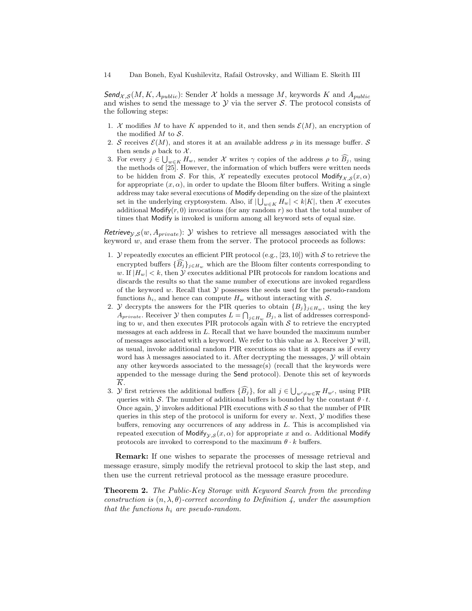Send $_{X,S}(M, K, A_{public})$ : Sender X holds a message M, keywords K and  $A_{public}$ and wishes to send the message to  $\mathcal Y$  via the server  $\mathcal S$ . The protocol consists of the following steps:

- 1. X modifies M to have K appended to it, and then sends  $\mathcal{E}(M)$ , an encryption of the modified  $M$  to  $S$ .
- 2. S receives  $\mathcal{E}(M)$ , and stores it at an available address  $\rho$  in its message buffer. S then sends  $\rho$  back to X.
- 3. For every  $j \in \bigcup_{w \in K} H_w$ , sender X writes  $\gamma$  copies of the address  $\rho$  to  $B_j$ , using the methods of [25]. However, the information of which buffers were written needs to be hidden from S. For this, X repeatedly executes protocol Modify  $S_s(x, \alpha)$ for appropriate  $(x, \alpha)$ , in order to update the Bloom filter buffers. Writing a single address may take several executions of Modify depending on the size of the plaintext set in the underlying cryptosystem. Also, if  $\left| \bigcup_{w \in K} H_w \right| < k |K|$ , then X executes additional Modify( $r$ , 0) invocations (for any random  $r$ ) so that the total number of times that Modify is invoked is uniform among all keyword sets of equal size.

Retrieve<sub>y,S</sub> $(w, A_{private})$ : *y* wishes to retrieve all messages associated with the keyword  $w$ , and erase them from the server. The protocol proceeds as follows:

- 1. Y repeatedly executes an efficient PIR protocol (e.g., [23, 10]) with S to retrieve the encrypted buffers  ${B_i}_{i\in H_w}$  which are the Bloom filter contents corresponding to w. If  $|H_w| < k$ , then Y executes additional PIR protocols for random locations and discards the results so that the same number of executions are invoked regardless of the keyword  $w$ . Recall that  $Y$  possesses the seeds used for the pseudo-random functions  $h_i$ , and hence can compute  $H_w$  without interacting with S.
- 2. Y decrypts the answers for the PIR queries to obtain  ${B_j}_{j\in H_w}$ , using the key  $A_{private}$ . Receiver  $\mathcal Y$  then computes  $L = \bigcap_{j \in H_w} B_j$ , a list of addresses corresponding to w, and then executes PIR protocols again with  $S$  to retrieve the encrypted messages at each address in L. Recall that we have bounded the maximum number of messages associated with a keyword. We refer to this value as  $\lambda$ . Receiver  $\mathcal Y$  will, as usual, invoke additional random PIR executions so that it appears as if every word has  $\lambda$  messages associated to it. After decrypting the messages,  $\mathcal Y$  will obtain any other keywords associated to the message(s) (recall that the keywords were appended to the message during the Send protocol). Denote this set of keywords  $\overline{K}$
- 3. V first retrieves the additional buffers  $\{B_j\}$ , for all  $j \in \bigcup_{w' \neq w \in \overline{K}} H_{w'}$ , using PIR queries with S. The number of additional buffers is bounded by the constant  $\theta \cdot t$ . Once again,  $\mathcal Y$  invokes additional PIR executions with  $\mathcal S$  so that the number of PIR queries in this step of the protocol is uniform for every  $w$ . Next,  $\mathcal Y$  modifies these buffers, removing any occurrences of any address in L. This is accomplished via repeated execution of Modify<sub> $y,s$ </sub> $(x, \alpha)$  for appropriate x and  $\alpha$ . Additional Modify protocols are invoked to correspond to the maximum  $\theta \cdot k$  buffers.

Remark: If one wishes to separate the processes of message retrieval and message erasure, simply modify the retrieval protocol to skip the last step, and then use the current retrieval protocol as the message erasure procedure.

Theorem 2. The Public-Key Storage with Keyword Search from the preceding construction is  $(n, \lambda, \theta)$ -correct according to Definition 4, under the assumption that the functions  $h_i$  are pseudo-random.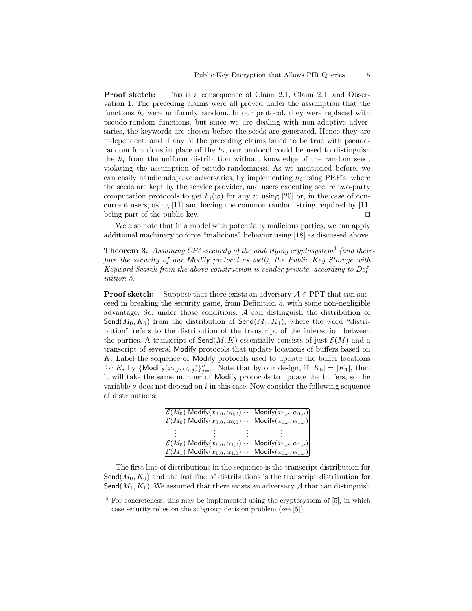**Proof sketch:** This is a consequence of Claim 2.1, Claim 2.1, and Observation 1. The preceding claims were all proved under the assumption that the functions  $h_i$  were uniformly random. In our protocol, they were replaced with pseudo-random functions, but since we are dealing with non-adaptive adversaries, the keywords are chosen before the seeds are generated. Hence they are independent, and if any of the preceding claims failed to be true with pseudorandom functions in place of the  $h_i$ , our protocol could be used to distinguish the  $h_i$  from the uniform distribution without knowledge of the random seed, violating the assumption of pseudo-randomness. As we mentioned before, we can easily handle adaptive adversaries, by implementing  $h_i$  using PRF's, where the seeds are kept by the service provider, and users executing secure two-party computation protocols to get  $h_i(w)$  for any w using [20] or, in the case of concurrent users, using [11] and having the common random string required by [11] being part of the public key.  $\Box$ 

We also note that in a model with potentially malicious parties, we can apply additional machinery to force "malicious" behavior using [18] as discussed above.

**Theorem 3.** Assuming CPA-security of the underlying cryptosystem<sup>3</sup> (and therefore the security of our Modify protocol as well), the Public Key Storage with Keyword Search from the above construction is sender private, according to Definition 5.

**Proof sketch:** Suppose that there exists an adversary  $A \in \text{PPT}$  that can succeed in breaking the security game, from Definition 5, with some non-negligible advantage. So, under those conditions,  $A$  can distinguish the distribution of Send( $M_0, K_0$ ) from the distribution of Send( $M_1, K_1$ ), where the word "distribution" refers to the distribution of the transcript of the interaction between the parties. A transcript of  $\mathsf{Send}(M, K)$  essentially consists of just  $\mathcal{E}(M)$  and a transcript of several Modify protocols that update locations of buffers based on K. Label the sequence of Modify protocols used to update the buffer locations for  $K_i$  by  $\{\text{\text{Modify}}(x_{i,j}, \alpha_{i,j})\}_{j=1}^{\nu}$ . Note that by our design, if  $|K_0| = |K_1|$ , then it will take the same number of Modify protocols to update the buffers, so the variable  $\nu$  does not depend on i in this case. Now consider the following sequence of distributions:

|  | $\mathcal{E}(M_0)$ Modify $(x_{0,0}, \alpha_{0,0}) \cdots$ Modify $(x_{0,\nu}, \alpha_{0,\nu})$ |
|--|-------------------------------------------------------------------------------------------------|
|  | $\mathcal{E}(M_0)$ Modify $(x_{0,0}, \alpha_{0,0}) \cdots$ Modify $(x_{1,\nu}, \alpha_{1,\nu})$ |
|  |                                                                                                 |
|  |                                                                                                 |
|  | $\mathcal{E}(M_0)$ Modify $(x_{1,0}, \alpha_{1,0}) \cdots$ Modify $(x_{1,\nu}, \alpha_{1,\nu})$ |
|  | $\mathcal{E}(M_1)$ Modify $(x_{1,0}, \alpha_{1,0}) \cdots$ Modify $(x_{1,\nu}, \alpha_{1,\nu})$ |

The first line of distributions in the sequence is the transcript distribution for  $\mathsf{Send}(M_0, K_0)$  and the last line of distributions is the transcript distribution for Send $(M_1, K_1)$ . We assumed that there exists an adversary A that can distinguish

<sup>&</sup>lt;sup>3</sup> For concreteness, this may be implemented using the cryptosystem of [5], in which case security relies on the subgroup decision problem (see [5]).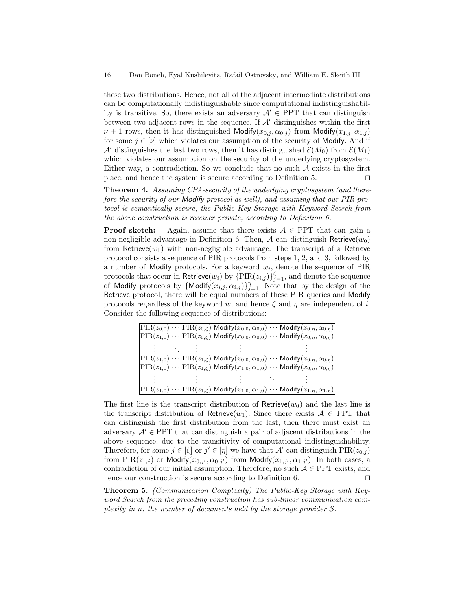these two distributions. Hence, not all of the adjacent intermediate distributions can be computationally indistinguishable since computational indistinguishability is transitive. So, there exists an adversary  $A' \in PPT$  that can distinguish between two adjacent rows in the sequence. If  $A'$  distinguishes within the first  $\nu + 1$  rows, then it has distinguished Modify( $x_{0,i}, \alpha_{0,i}$ ) from Modify( $x_{1,i}, \alpha_{1,i}$ ) for some  $j \in [\nu]$  which violates our assumption of the security of Modify. And if A' distinguishes the last two rows, then it has distinguished  $\mathcal{E}(M_0)$  from  $\mathcal{E}(M_1)$ which violates our assumption on the security of the underlying cryptosystem. Either way, a contradiction. So we conclude that no such  $A$  exists in the first place, and hence the system is secure according to Definition 5.  $\Box$ 

Theorem 4. Assuming CPA-security of the underlying cryptosystem (and therefore the security of our Modify protocol as well), and assuming that our PIR protocol is semantically secure, the Public Key Storage with Keyword Search from the above construction is receiver private, according to Definition 6.

**Proof sketch:** Again, assume that there exists  $A \in \text{PPT}$  that can gain a non-negligible advantage in Definition 6. Then, A can distinguish Retrieve $(w_0)$ from Retrieve $(w_1)$  with non-negligible advantage. The transcript of a Retrieve protocol consists a sequence of PIR protocols from steps 1, 2, and 3, followed by a number of Modify protocols. For a keyword  $w_i$ , denote the sequence of PIR protocols that occur in Retrieve $(w_i)$  by  $\{PIR(z_{i,j})\}_{j=1}^{\zeta}$ , and denote the sequence of Modify protocols by  $\{\text{Modify}(x_{i,j}, \alpha_{i,j})\}_{j=1}^{\eta}$ . Note that by the design of the Retrieve protocol, there will be equal numbers of these PIR queries and Modify protocols regardless of the keyword w, and hence  $\zeta$  and  $\eta$  are independent of i. Consider the following sequence of distributions:

|  |  | $\vert \text{PIR}(z_{0,0}) \cdots \text{PIR}(z_{0,\zeta}) \text{ Modify}(x_{0,0},\alpha_{0,0}) \cdots \text{ Modify}(x_{0,\eta},\alpha_{0,\eta}) \vert$ |
|--|--|---------------------------------------------------------------------------------------------------------------------------------------------------------|
|  |  | $ \text{PIR}(z_{1,0})\cdots \text{PIR}(z_{0,\zeta})\rangle$ Modify $(x_{0,0},\alpha_{0,0})\cdots$ Modify $(x_{0,\eta},\alpha_{0,\eta})$                 |
|  |  |                                                                                                                                                         |
|  |  |                                                                                                                                                         |
|  |  | $ \text{PIR}(z_{1,0})\cdots \text{PIR}(z_{1,\zeta})\rangle$ Modify $(x_{0,0},\alpha_{0,0})\cdots$ Modify $(x_{0,\eta},\alpha_{0,\eta})$                 |
|  |  | $ \text{PIR}(z_{1,0})\cdots \text{PIR}(z_{1,\zeta})\text{ Modify}(x_{1,0},\alpha_{1,0})\cdots \text{ Modify}(x_{0,\eta},\alpha_{0,\eta}) $              |
|  |  |                                                                                                                                                         |
|  |  |                                                                                                                                                         |
|  |  | $\left  \text{PIR}(z_{1,0}) \cdots \text{PIR}(z_{1,\zeta}) \right $ Modify $(x_{1,0}, \alpha_{1,0}) \cdots$ Modify $(x_{1,\eta}, \alpha_{1,\eta})$      |

The first line is the transcript distribution of  $\mathsf{Retrieve}(w_0)$  and the last line is the transcript distribution of Retrieve(w<sub>1</sub>). Since there exists  $A \in PPT$  that can distinguish the first distribution from the last, then there must exist an adversary  $A' \in \text{PPT}$  that can distinguish a pair of adjacent distributions in the above sequence, due to the transitivity of computational indistinguishability. Therefore, for some  $j \in [\zeta]$  or  $j' \in [\eta]$  we have that  $\mathcal{A}'$  can distinguish  $PIR(z_{0,j})$ from PIR( $z_{1,j}$ ) or Modify( $x_{0,j}, \alpha_{0,j'}$ ) from Modify( $x_{1,j}, \alpha_{1,j'}$ ). In both cases, a contradiction of our initial assumption. Therefore, no such  $A \in PPT$  exists, and hence our construction is secure according to Definition 6.  $\Box$ 

Theorem 5. (Communication Complexity) The Public-Key Storage with Keyword Search from the preceding construction has sub-linear communication complexity in n, the number of documents held by the storage provider  $S$ .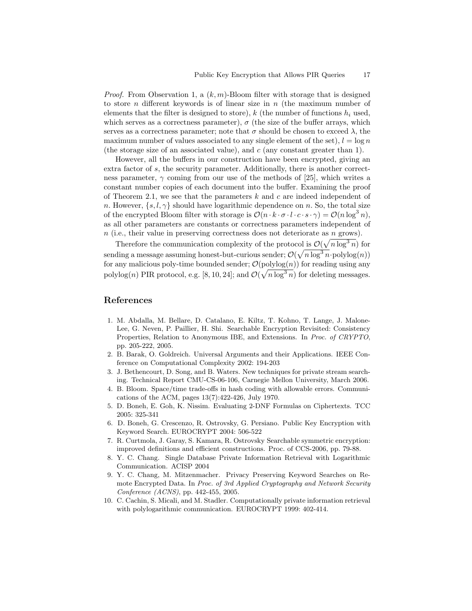*Proof.* From Observation 1, a  $(k, m)$ -Bloom filter with storage that is designed to store n different keywords is of linear size in  $n$  (the maximum number of elements that the filter is designed to store),  $k$  (the number of functions  $h_i$  used, which serves as a correctness parameter),  $\sigma$  (the size of the buffer arrays, which serves as a correctness parameter; note that  $\sigma$  should be chosen to exceed  $\lambda$ , the maximum number of values associated to any single element of the set),  $l = \log n$ (the storage size of an associated value), and c (any constant greater than 1).

However, all the buffers in our construction have been encrypted, giving an extra factor of s, the security parameter. Additionally, there is another correctness parameter,  $\gamma$  coming from our use of the methods of [25], which writes a constant number copies of each document into the buffer. Examining the proof of Theorem 2.1, we see that the parameters  $k$  and  $c$  are indeed independent of n. However,  $\{s, l, \gamma\}$  should have logarithmic dependence on n. So, the total size of the encrypted Bloom filter with storage is  $\mathcal{O}(n \cdot k \cdot \sigma \cdot l \cdot c \cdot s \cdot \gamma) = \mathcal{O}(n \log^3 n)$ , as all other parameters are constants or correctness parameters independent of  $n$  (i.e., their value in preserving correctness does not deteriorate as  $n$  grows).

Therefore the communication complexity of the protocol is  $\mathcal{O}(\sqrt{n \log^3 n})$  for sending a message assuming honest-but-curious sender;  $\mathcal{O}(\sqrt{n \log^3 n} \cdot \text{polylog}(n))$ for any malicious poly-time bounded sender;  $\mathcal{O}(\text{polylog}(n))$  for reading using any polylog(n) PIR protocol, e.g. [8, 10, 24]; and  $\mathcal{O}(\sqrt{n \log^3 n})$  for deleting messages.

## References

- 1. M. Abdalla, M. Bellare, D. Catalano, E. Kiltz, T. Kohno, T. Lange, J. Malone-Lee, G. Neven, P. Paillier, H. Shi. Searchable Encryption Revisited: Consistency Properties, Relation to Anonymous IBE, and Extensions. In Proc. of CRYPTO, pp. 205-222, 2005.
- 2. B. Barak, O. Goldreich. Universal Arguments and their Applications. IEEE Conference on Computational Complexity 2002: 194-203
- 3. J. Bethencourt, D. Song, and B. Waters. New techniques for private stream searching. Technical Report CMU-CS-06-106, Carnegie Mellon University, March 2006.
- 4. B. Bloom. Space/time trade-offs in hash coding with allowable errors. Communications of the ACM, pages 13(7):422-426, July 1970.
- 5. D. Boneh, E. Goh, K. Nissim. Evaluating 2-DNF Formulas on Ciphertexts. TCC 2005: 325-341
- 6. D. Boneh, G. Crescenzo, R. Ostrovsky, G. Persiano. Public Key Encryption with Keyword Search. EUROCRYPT 2004: 506-522
- 7. R. Curtmola, J. Garay, S. Kamara, R. Ostrovsky Searchable symmetric encryption: improved definitions and efficient constructions. Proc. of CCS-2006, pp. 79-88.
- 8. Y. C. Chang. Single Database Private Information Retrieval with Logarithmic Communication. ACISP 2004
- 9. Y. C. Chang, M. Mitzenmacher. Privacy Preserving Keyword Searches on Remote Encrypted Data. In Proc. of 3rd Applied Cryptography and Network Security Conference (ACNS), pp. 442-455, 2005.
- 10. C. Cachin, S. Micali, and M. Stadler. Computationally private information retrieval with polylogarithmic communication. EUROCRYPT 1999: 402-414.